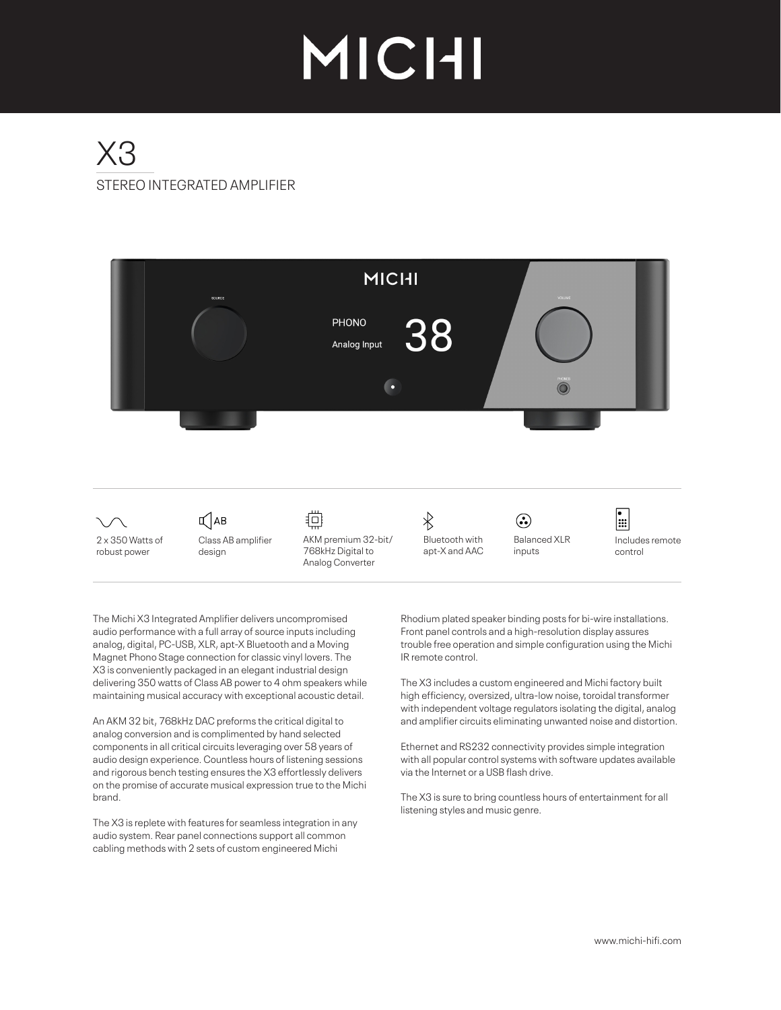# MICHI

## STEREO INTEGRATED AMPLIFIER  $X$ 3



The Michi X3 Integrated Amplifier delivers uncompromised audio performance with a full array of source inputs including analog, digital, PC-USB, XLR, apt-X Bluetooth and a Moving Magnet Phono Stage connection for classic vinyl lovers. The X3 is conveniently packaged in an elegant industrial design delivering 350 watts of Class AB power to 4 ohm speakers while maintaining musical accuracy with exceptional acoustic detail.

An AKM 32 bit, 768kHz DAC preforms the critical digital to analog conversion and is complimented by hand selected components in all critical circuits leveraging over 58 years of audio design experience. Countless hours of listening sessions and rigorous bench testing ensures the X3 effortlessly delivers on the promise of accurate musical expression true to the Michi brand.

The X3 is replete with features for seamless integration in any audio system. Rear panel connections support all common cabling methods with 2 sets of custom engineered Michi

Rhodium plated speaker binding posts for bi-wire installations. Front panel controls and a high-resolution display assures trouble free operation and simple configuration using the Michi IR remote control.

The X3 includes a custom engineered and Michi factory built high efficiency, oversized, ultra-low noise, toroidal transformer with independent voltage regulators isolating the digital, analog and amplifier circuits eliminating unwanted noise and distortion.

Ethernet and RS232 connectivity provides simple integration with all popular control systems with software updates available via the Internet or a USB flash drive.

The X3 is sure to bring countless hours of entertainment for all listening styles and music genre.